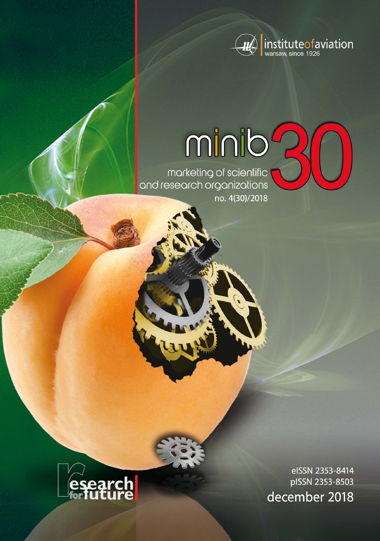

# minib<sup>2</sup>

marketing of scientific<br>and research organizations no. 4(30)/2018



eISSN 2353-8414 pISSN 2353-8503 december 2018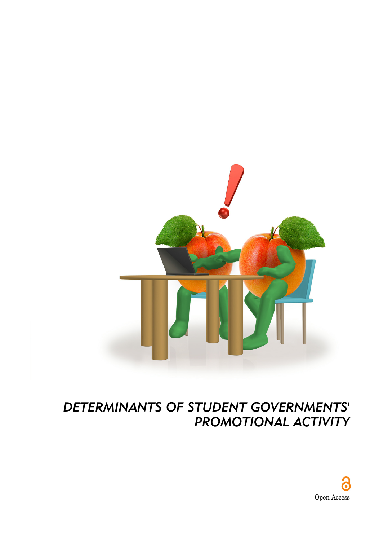

## *DETERMINANTS OF STUDENT GOVERNMENTS' PROMOTIONAL ACTIVITY*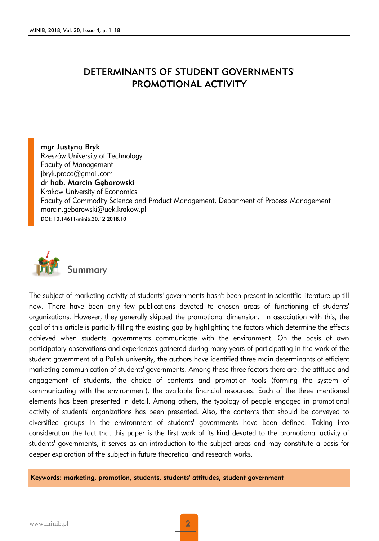## DETERMINANTS OF STUDENT GOVERNMENTS' PROMOTIONAL ACTIVITY

mgr Justyna Bryk Rzeszów University of Technology Faculty of Management jbryk.praca@gmail.com dr hab. Marcin Gębarowski Kraków University of Economics Faculty of Commodity Science and Product Management, Department of Process Management marcin.gebarowski@uek.krakow.pl DOI: 10.14611/minib.30.12.2018.10



The subject of marketing activity of students' governments hasn't been present in scientific literature up till now. There have been only few publications devoted to chosen areas of functioning of students' organizations. However, they generally skipped the promotional dimension. In association with this, the goal of this article is partially filling the existing gap by highlighting the factors which determine the effects achieved when students' governments communicate with the environment. On the basis of own participatory observations and experiences gathered during many years of participating in the work of the student government of a Polish university, the authors have identified three main determinants of efficient marketing communication of students' governments. Among these three factors there are: the attitude and engagement of students, the choice of contents and promotion tools (forming the system of communicating with the environment), the available financial resources. Each of the three mentioned elements has been presented in detail. Among others, the typology of people engaged in promotional activity of students' organizations has been presented. Also, the contents that should be conveyed to diversified groups in the environment of students' governments have been defined. Taking into consideration the fact that this paper is the first work of its kind devoted to the promotional activity of students' governments, it serves as an introduction to the subject areas and may constitute a basis for deeper exploration of the subject in future theoretical and research works.

Keywords: marketing, promotion, students, students' attitudes, student government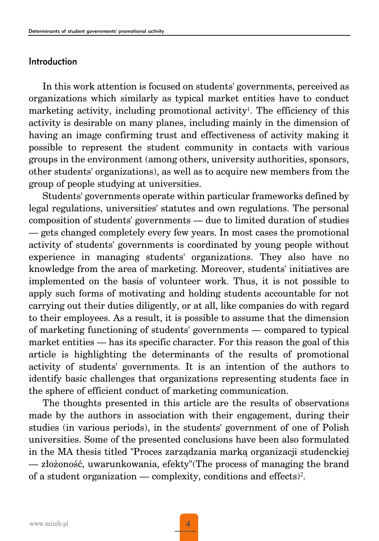## Introduction

In this work attention is focused on students' governments, perceived as organizations which similarly as typical market entities have to conduct marketing activity, including promotional activity<sup>1</sup>. The efficiency of this activity is desirable on many planes, including mainly in the dimension of having an image confirming trust and effectiveness of activity making it possible to represent the student community in contacts with various groups in the environment (among others, university authorities, sponsors, other students' organizations), as well as to acquire new members from the group of people studying at universities.

Students' governments operate within particular frameworks defined by legal regulations, universities' statutes and own regulations. The personal composition of students' governments — due to limited duration of studies — gets changed completely every few years. In most cases the promotional activity of students' governments is coordinated by young people without experience in managing students' organizations. They also have no knowledge from the area of marketing. Moreover, students' initiatives are implemented on the basis of volunteer work. Thus, it is not possible to apply such forms of motivating and holding students accountable for not carrying out their duties diligently, or at all, like companies do with regard to their employees. As a result, it is possible to assume that the dimension of marketing functioning of students' governments — compared to typical market entities — has its specific character. For this reason the goal of this article is highlighting the determinants of the results of promotional activity of students' governments. It is an intention of the authors to identify basic challenges that organizations representing students face in the sphere of efficient conduct of marketing communication.

The thoughts presented in this article are the results of observations made by the authors in association with their engagement, during their studies (in various periods), in the students' government of one of Polish universities. Some of the presented conclusions have been also formulated in the MA thesis titled "Proces zarządzania marką organizacji studenckiej — złożoność, uwarunkowania, efekty"(The process of managing the brand of a student organization — complexity, conditions and effects)2.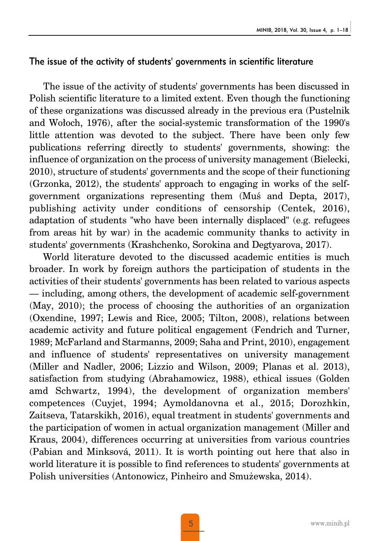## The issue of the activity of students' governments in scientific literature

The issue of the activity of students' governments has been discussed in Polish scientific literature to a limited extent. Even though the functioning of these organizations was discussed already in the previous era (Pustelnik and Wołoch, 1976), after the social-systemic transformation of the 1990's little attention was devoted to the subject. There have been only few publications referring directly to students' governments, showing: the influence of organization on the process of university management (Bielecki, 2010), structure of students' governments and the scope of their functioning (Grzonka, 2012), the students' approach to engaging in works of the selfgovernment organizations representing them (Muś and Depta, 2017), publishing activity under conditions of censorship (Centek, 2016), adaptation of students "who have been internally displaced" (e.g. refugees from areas hit by war) in the academic community thanks to activity in students' governments (Krashchenko, Sorokina and Degtyarova, 2017).

World literature devoted to the discussed academic entities is much broader. In work by foreign authors the participation of students in the activities of their students' governments has been related to various aspects — including, among others, the development of academic self-government (May, 2010); the process of choosing the authorities of an organization (Oxendine, 1997; Lewis and Rice, 2005; Tilton, 2008), relations between academic activity and future political engagement (Fendrich and Turner, 1989; McFarland and Starmanns, 2009; Saha and Print, 2010), engagement and influence of students' representatives on university management (Miller and Nadler, 2006; Lizzio and Wilson, 2009; Planas et al. 2013), satisfaction from studying (Abrahamowicz, 1988), ethical issues (Golden amd Schwartz, 1994), the development of organization members' competences (Cuyjet, 1994; Aymoldanovna et al., 2015; Dorozhkin, Zaitseva, Tatarskikh, 2016), equal treatment in students' governments and the participation of women in actual organization management (Miller and Kraus, 2004), differences occurring at universities from various countries (Pabian and Minksová, 2011). It is worth pointing out here that also in world literature it is possible to find references to students' governments at Polish universities (Antonowicz, Pinheiro and Smużewska, 2014).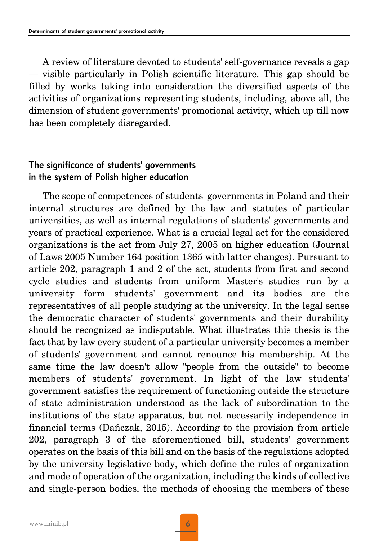A review of literature devoted to students' self-governance reveals a gap — visible particularly in Polish scientific literature. This gap should be filled by works taking into consideration the diversified aspects of the activities of organizations representing students, including, above all, the dimension of student governments' promotional activity, which up till now has been completely disregarded.

## The significance of students' governments in the system of Polish higher education

The scope of competences of students' governments in Poland and their internal structures are defined by the law and statutes of particular universities, as well as internal regulations of students' governments and years of practical experience. What is a crucial legal act for the considered organizations is the act from July 27, 2005 on higher education (Journal of Laws 2005 Number 164 position 1365 with latter changes). Pursuant to article 202, paragraph 1 and 2 of the act, students from first and second cycle studies and students from uniform Master's studies run by a university form students' government and its bodies are the representatives of all people studying at the university. In the legal sense the democratic character of students' governments and their durability should be recognized as indisputable. What illustrates this thesis is the fact that by law every student of a particular university becomes a member of students' government and cannot renounce his membership. At the same time the law doesn't allow "people from the outside" to become members of students' government. In light of the law students' government satisfies the requirement of functioning outside the structure of state administration understood as the lack of subordination to the institutions of the state apparatus, but not necessarily independence in financial terms (Dańczak, 2015). According to the provision from article 202, paragraph 3 of the aforementioned bill, students' government operates on the basis of this bill and on the basis of the regulations adopted by the university legislative body, which define the rules of organization and mode of operation of the organization, including the kinds of collective and single-person bodies, the methods of choosing the members of these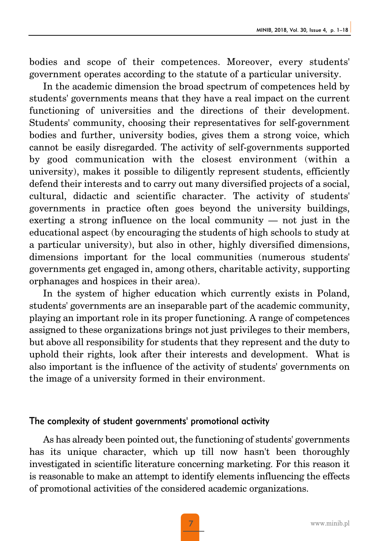bodies and scope of their competences. Moreover, every students' government operates according to the statute of a particular university.

In the academic dimension the broad spectrum of competences held by students' governments means that they have a real impact on the current functioning of universities and the directions of their development. Students' community, choosing their representatives for self-government bodies and further, university bodies, gives them a strong voice, which cannot be easily disregarded. The activity of self-governments supported by good communication with the closest environment (within a university), makes it possible to diligently represent students, efficiently defend their interests and to carry out many diversified projects of a social, cultural, didactic and scientific character. The activity of students' governments in practice often goes beyond the university buildings, exerting a strong influence on the local community — not just in the educational aspect (by encouraging the students of high schools to study at a particular university), but also in other, highly diversified dimensions, dimensions important for the local communities (numerous students' governments get engaged in, among others, charitable activity, supporting orphanages and hospices in their area).

In the system of higher education which currently exists in Poland, students' governments are an inseparable part of the academic community, playing an important role in its proper functioning. A range of competences assigned to these organizations brings not just privileges to their members, but above all responsibility for students that they represent and the duty to uphold their rights, look after their interests and development. What is also important is the influence of the activity of students' governments on the image of a university formed in their environment.

## The complexity of student governments' promotional activity

As has already been pointed out, the functioning of students' governments has its unique character, which up till now hasn't been thoroughly investigated in scientific literature concerning marketing. For this reason it is reasonable to make an attempt to identify elements influencing the effects of promotional activities of the considered academic organizations.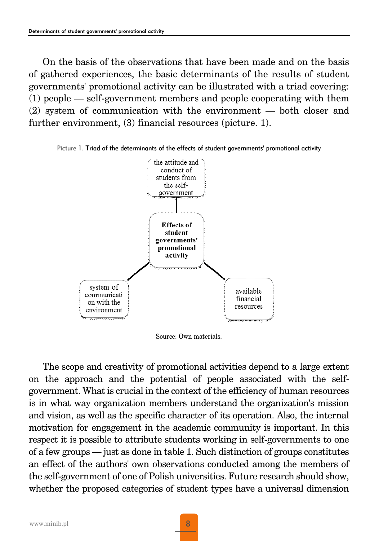On the basis of the observations that have been made and on the basis of gathered experiences, the basic determinants of the results of student governments' promotional activity can be illustrated with a triad covering: (1) people — self-government members and people cooperating with them (2) system of communication with the environment — both closer and further environment, (3) financial resources (picture. 1).





Source: Own materials.

The scope and creativity of promotional activities depend to a large extent on the approach and the potential of people associated with the selfgovernment. What is crucial in the context of the efficiency of human resources is in what way organization members understand the organization's mission and vision, as well as the specific character of its operation. Also, the internal motivation for engagement in the academic community is important. In this respect it is possible to attribute students working in self-governments to one of a few groups — just as done in table 1. Such distinction of groups constitutes an effect of the authors' own observations conducted among the members of the self-government of one of Polish universities. Future research should show, whether the proposed categories of student types have a universal dimension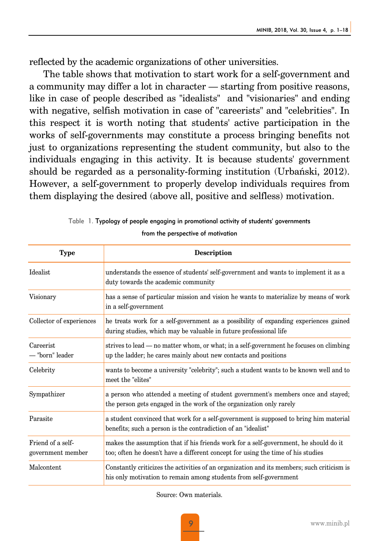reflected by the academic organizations of other universities.

The table shows that motivation to start work for a self-government and a community may differ a lot in character — starting from positive reasons, like in case of people described as "idealists" and "visionaries" and ending with negative, selfish motivation in case of "careerists" and "celebrities". In this respect it is worth noting that students' active participation in the works of self-governments may constitute a process bringing benefits not just to organizations representing the student community, but also to the individuals engaging in this activity. It is because students' government should be regarded as a personality-forming institution (Urbański, 2012). However, a self-government to properly develop individuals requires from them displaying the desired (above all, positive and selfless) motivation.

| Type                                   | <b>Description</b>                                                                                                                                                       |
|----------------------------------------|--------------------------------------------------------------------------------------------------------------------------------------------------------------------------|
| Idealist                               | understands the essence of students' self-government and wants to implement it as a<br>duty towards the academic community                                               |
| Visionary                              | has a sense of particular mission and vision he wants to materialize by means of work<br>in a self-government                                                            |
| Collector of experiences               | he treats work for a self-government as a possibility of expanding experiences gained<br>during studies, which may be valuable in future professional life               |
| Careerist<br>- "born" leader           | strives to lead — no matter whom, or what; in a self-government he focuses on climbing<br>up the ladder; he cares mainly about new contacts and positions                |
| Celebrity                              | wants to become a university "celebrity"; such a student wants to be known well and to<br>meet the "elites"                                                              |
| Sympathizer                            | a person who attended a meeting of student government's members once and stayed;<br>the person gets engaged in the work of the organization only rarely                  |
| Parasite                               | a student convinced that work for a self-government is supposed to bring him material<br>benefits; such a person is the contradiction of an "idealist"                   |
| Friend of a self-<br>government member | makes the assumption that if his friends work for a self-government, he should do it<br>too; often he doesn't have a different concept for using the time of his studies |
| Malcontent                             | Constantly criticizes the activities of an organization and its members; such criticism is<br>his only motivation to remain among students from self-government          |

Table 1. Typology of people engaging in promotional activity of students' governments

### from the perspective of motivation

Source: Own materials.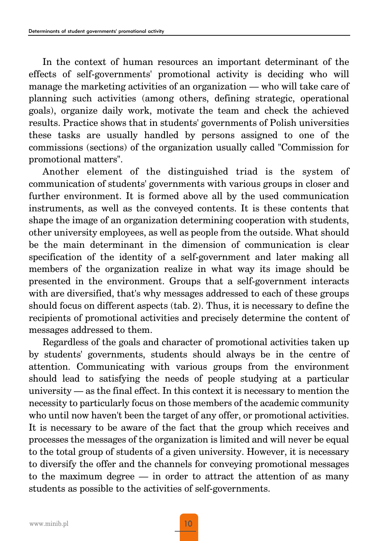In the context of human resources an important determinant of the effects of self-governments' promotional activity is deciding who will manage the marketing activities of an organization — who will take care of planning such activities (among others, defining strategic, operational goals), organize daily work, motivate the team and check the achieved results. Practice shows that in students' governments of Polish universities these tasks are usually handled by persons assigned to one of the commissions (sections) of the organization usually called "Commission for promotional matters".

Another element of the distinguished triad is the system of communication of students' governments with various groups in closer and further environment. It is formed above all by the used communication instruments, as well as the conveyed contents. It is these contents that shape the image of an organization determining cooperation with students, other university employees, as well as people from the outside. What should be the main determinant in the dimension of communication is clear specification of the identity of a self-government and later making all members of the organization realize in what way its image should be presented in the environment. Groups that a self-government interacts with are diversified, that's why messages addressed to each of these groups should focus on different aspects (tab. 2). Thus, it is necessary to define the recipients of promotional activities and precisely determine the content of messages addressed to them.

Regardless of the goals and character of promotional activities taken up by students' governments, students should always be in the centre of attention. Communicating with various groups from the environment should lead to satisfying the needs of people studying at a particular university — as the final effect. In this context it is necessary to mention the necessity to particularly focus on those members of the academic community who until now haven't been the target of any offer, or promotional activities. It is necessary to be aware of the fact that the group which receives and processes the messages of the organization is limited and will never be equal to the total group of students of a given university. However, it is necessary to diversify the offer and the channels for conveying promotional messages to the maximum degree — in order to attract the attention of as many students as possible to the activities of self-governments.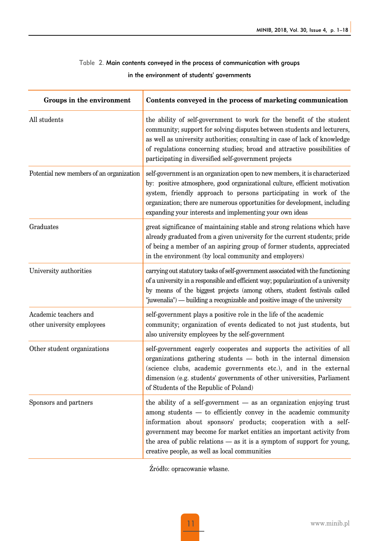## Table 2. Main contents conveyed in the process of communication with groups in the environment of students' governments

| Groups in the environment                           | Contents conveyed in the process of marketing communication                                                                                                                                                                                                                                                                                                                                                      |
|-----------------------------------------------------|------------------------------------------------------------------------------------------------------------------------------------------------------------------------------------------------------------------------------------------------------------------------------------------------------------------------------------------------------------------------------------------------------------------|
| All students                                        | the ability of self-government to work for the benefit of the student<br>community; support for solving disputes between students and lecturers,<br>as well as university authorities; consulting in case of lack of knowledge<br>of regulations concerning studies; broad and attractive possibilities of<br>participating in diversified self-government projects                                              |
| Potential new members of an organization            | self-government is an organization open to new members, it is characterized<br>by: positive atmosphere, good organizational culture, efficient motivation<br>system, friendly approach to persons participating in work of the<br>organization; there are numerous opportunities for development, including<br>expanding your interests and implementing your own ideas                                          |
| Graduates                                           | great significance of maintaining stable and strong relations which have<br>already graduated from a given university for the current students; pride<br>of being a member of an aspiring group of former students, appreciated<br>in the environment (by local community and employers)                                                                                                                         |
| University authorities                              | carrying out statutory tasks of self-government associated with the functioning<br>of a university in a responsible and efficient way; popularization of a university<br>by means of the biggest projects (among others, student festivals called<br>"juwenalia") — building a recognizable and positive image of the university                                                                                 |
| Academic teachers and<br>other university employees | self-government plays a positive role in the life of the academic<br>community; organization of events dedicated to not just students, but<br>also university employees by the self-government                                                                                                                                                                                                                   |
| Other student organizations                         | self-government eagerly cooperates and supports the activities of all<br>organizations gathering students - both in the internal dimension<br>(science clubs, academic governments etc.), and in the external<br>dimension (e.g. students' governments of other universities, Parliament<br>of Students of the Republic of Poland)                                                                               |
| Sponsors and partners                               | the ability of a self-government - as an organization enjoying trust<br>among students - to efficiently convey in the academic community<br>information about sponsors' products; cooperation with a self-<br>government may become for market entities an important activity from<br>the area of public relations $-$ as it is a symptom of support for young,<br>creative people, as well as local communities |

Źródło: opracowanie własne.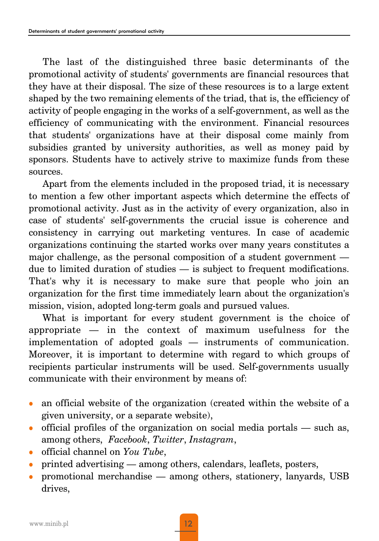The last of the distinguished three basic determinants of the promotional activity of students' governments are financial resources that they have at their disposal. The size of these resources is to a large extent shaped by the two remaining elements of the triad, that is, the efficiency of activity of people engaging in the works of a self-government, as well as the efficiency of communicating with the environment. Financial resources that students' organizations have at their disposal come mainly from subsidies granted by university authorities, as well as money paid by sponsors. Students have to actively strive to maximize funds from these sources.

Apart from the elements included in the proposed triad, it is necessary to mention a few other important aspects which determine the effects of promotional activity. Just as in the activity of every organization, also in case of students' self-governments the crucial issue is coherence and consistency in carrying out marketing ventures. In case of academic organizations continuing the started works over many years constitutes a major challenge, as the personal composition of a student government due to limited duration of studies — is subject to frequent modifications. That's why it is necessary to make sure that people who join an organization for the first time immediately learn about the organization's mission, vision, adopted long-term goals and pursued values.

What is important for every student government is the choice of appropriate — in the context of maximum usefulness for the implementation of adopted goals — instruments of communication. Moreover, it is important to determine with regard to which groups of recipients particular instruments will be used. Self-governments usually communicate with their environment by means of:

- $\bullet$  an official website of the organization (created within the website of a given university, or a separate website),
- official profiles of the organization on social media portals  $-$  such as, among others, *Facebook*, *Twitter*, *Instagram*,
- <sup>z</sup> official channel on *You Tube*,
- printed advertising among others, calendars, leaflets, posters,
- <sup>z</sup> promotional merchandise among others, stationery, lanyards, USB drives,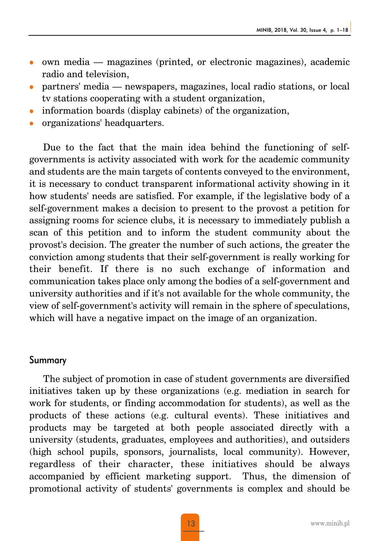- $\bullet$  own media magazines (printed, or electronic magazines), academic radio and television,
- <sup>z</sup> partners' media newspapers, magazines, local radio stations, or local tv stations cooperating with a student organization,
- information boards (display cabinets) of the organization,
- organizations' headquarters.

Due to the fact that the main idea behind the functioning of selfgovernments is activity associated with work for the academic community and students are the main targets of contents conveyed to the environment, it is necessary to conduct transparent informational activity showing in it how students' needs are satisfied. For example, if the legislative body of a self-government makes a decision to present to the provost a petition for assigning rooms for science clubs, it is necessary to immediately publish a scan of this petition and to inform the student community about the provost's decision. The greater the number of such actions, the greater the conviction among students that their self-government is really working for their benefit. If there is no such exchange of information and communication takes place only among the bodies of a self-government and university authorities and if it's not available for the whole community, the view of self-government's activity will remain in the sphere of speculations, which will have a negative impact on the image of an organization.

## Summary

The subject of promotion in case of student governments are diversified initiatives taken up by these organizations (e.g. mediation in search for work for students, or finding accommodation for students), as well as the products of these actions (e.g. cultural events). These initiatives and products may be targeted at both people associated directly with a university (students, graduates, employees and authorities), and outsiders (high school pupils, sponsors, journalists, local community). However, regardless of their character, these initiatives should be always accompanied by efficient marketing support. Thus, the dimension of promotional activity of students' governments is complex and should be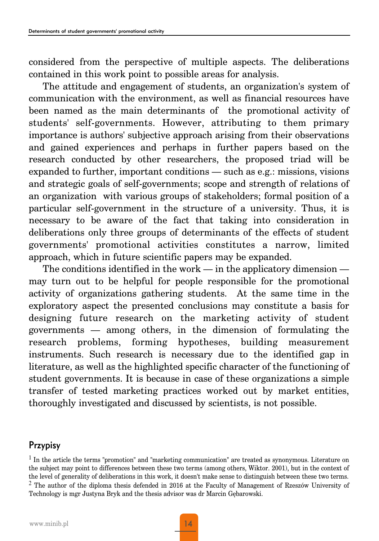considered from the perspective of multiple aspects. The deliberations contained in this work point to possible areas for analysis.

The attitude and engagement of students, an organization's system of communication with the environment, as well as financial resources have been named as the main determinants of the promotional activity of students' self-governments. However, attributing to them primary importance is authors' subjective approach arising from their observations and gained experiences and perhaps in further papers based on the research conducted by other researchers, the proposed triad will be expanded to further, important conditions — such as e.g.: missions, visions and strategic goals of self-governments; scope and strength of relations of an organization with various groups of stakeholders; formal position of a particular self-government in the structure of a university. Thus, it is necessary to be aware of the fact that taking into consideration in deliberations only three groups of determinants of the effects of student governments' promotional activities constitutes a narrow, limited approach, which in future scientific papers may be expanded.

The conditions identified in the work — in the applicatory dimension may turn out to be helpful for people responsible for the promotional activity of organizations gathering students. At the same time in the exploratory aspect the presented conclusions may constitute a basis for designing future research on the marketing activity of student governments — among others, in the dimension of formulating the research problems, forming hypotheses, building measurement instruments. Such research is necessary due to the identified gap in literature, as well as the highlighted specific character of the functioning of student governments. It is because in case of these organizations a simple transfer of tested marketing practices worked out by market entities, thoroughly investigated and discussed by scientists, is not possible.

## Przypisy

<sup>&</sup>lt;sup>1</sup> In the article the terms "promotion" and "marketing communication" are treated as synonymous. Literature on the subject may point to differences between these two terms (among others, Wiktor. 2001), but in the context of the level of generality of deliberations in this work, it doesn't make sense to distinguish between these two terms. <sup>2</sup> The author of the diploma thesis defended in 2016 at the Faculty of Management of Rzeszów University of Technology is mgr Justyna Bryk and the thesis advisor was dr Marcin Gębarowski.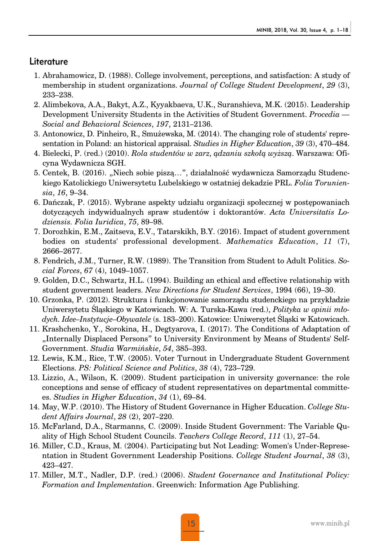## Literature

- 1. Abrahamowicz, D. (1988). College involvement, perceptions, and satisfaction: A study of membership in student organizations. *Journal of College Student Development*, *29* (3), 233–238.
- 2. Alimbekova, A.A., Bakyt, A.Z., Kyyakbaeva, U.K., Suranshieva, M.K. (2015). Leadership Development University Students in the Activities of Student Government. *Procedia — Social and Behavioral Sciences*, *197*, 2131–2136.
- 3. Antonowicz, D. Pinheiro, R., Smużewska, M. (2014). The changing role of students' representation in Poland: an historical appraisal. *Studies in Higher Education*, *39* (3), 470–484.
- 4. Bielecki, P. (red.) (2010). *Rola studentów w zarz, ądzaniu szkołą wyższą*. Warszawa: Oficyna Wydawnicza SGH.
- 5. Centek, B. (2016). "Niech sobie piszą…", działalność wydawnicza Samorządu Studenckiego Katolickiego Uniwersytetu Lubelskiego w ostatniej dekadzie PRL. *Folia Toruniensia*, *16*, 9–34.
- 6. Dańczak, P. (2015). Wybrane aspekty udziału organizacji społecznej w postępowaniach dotyczących indywidualnych spraw studentów i doktorantów. *Acta Universitatis Lodziensis. Folia Iuridica*, *75*, 89–98.
- 7. Dorozhkin, E.M., Zaitseva, E.V., Tatarskikh, B.Y. (2016). Impact of student government bodies on students' professional development. *Mathematics Education*, *11* (7), 2666–2677.
- 8. Fendrich, J.M., Turner, R.W. (1989). The Transition from Student to Adult Politics. *Social Forces*, *67* (4), 1049–1057.
- 9. Golden, D.C., Schwartz, H.L. (1994). Building an ethical and effective relationship with student government leaders. *New Directions for Student Services*, 1994 (66), 19–30.
- 10. Grzonka, P. (2012). Struktura i funkcjonowanie samorządu studenckiego na przykładzie Uniwersytetu Śląskiego w Katowicach. W: A. Turska-Kawa (red.), *Polityka w opinii młodych. Idee–Instytucje–Obywatele* (s. 183–200). Katowice: Uniwersytet Śląski w Katowicach.
- 11. Krashchenko, Y., Sorokina, H., Degtyarova, I. (2017). The Conditions of Adaptation of "Internally Displaced Persons" to University Environment by Means of Students' Self-Government. *Studia Warmińskie*, *54*, 385–393.
- 12. Lewis, K.M., Rice, T.W. (2005). Voter Turnout in Undergraduate Student Government Elections. *PS: Political Science and Politics*, *38* (4), 723–729.
- 13. Lizzio, A., Wilson, K. (2009). Student participation in university governance: the role conceptions and sense of efficacy of student representatives on departmental committees. *Studies in Higher Education*, *34* (1), 69–84.
- 14. May, W.P. (2010). The History of Student Governance in Higher Education. *College Student Affairs Journal*, *28* (2), 207–220.
- 15. McFarland, D.A., Starmanns, C. (2009). Inside Student Government: The Variable Quality of High School Student Councils. *Teachers College Record*, *111* (1), 27–54.
- 16. Miller, C.D., Kraus, M. (2004). Participating but Not Leading: Women's Under-Representation in Student Government Leadership Positions. *College Student Journal*, *38* (3), 423–427.
- 17. Miller, M.T., Nadler, D.P. (red.) (2006). *Student Governance and Institutional Policy: Formation and Implementation*. Greenwich: Information Age Publishing.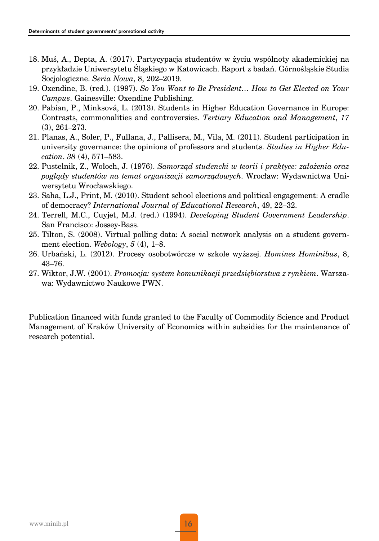- 18. Muś, A., Depta, A. (2017). Partycypacja studentów w życiu wspólnoty akademickiej na przykładzie Uniwersytetu Śląskiego w Katowicach. Raport z badań. Górnośląskie Studia Socjologiczne. *Seria Nowa*, 8, 202–2019.
- 19. Oxendine, B. (red.). (1997). *So You Want to Be President… How to Get Elected on Your Campus*. Gainesville: Oxendine Publishing.
- 20. Pabian, P., Minksová, L. (2013). Students in Higher Education Governance in Europe: Contrasts, commonalities and controversies. *Tertiary Education and Management*, *17* (3), 261–273.
- 21. Planas, A., Soler, P., Fullana, J., Pallisera, M., Vila, M. (2011). Student participation in university governance: the opinions of professors and students. *Studies in Higher Education*. *38* (4), 571–583.
- 22. Pustelnik, Z., Wołoch, J. (1976). *Samorząd studencki w teorii i praktyce: założenia oraz poglądy studentów na temat organizacji samorządowych*. Wrocław: Wydawnictwa Uniwersytetu Wrocławskiego.
- 23. Saha, L.J., Print, M. (2010). Student school elections and political engagement: A cradle of democracy? *International Journal of Educational Research*, 49, 22–32.
- 24. Terrell, M.C., Cuyjet, M.J. (red.) (1994). *Developing Student Government Leadership*. San Francisco: Jossey-Bass.
- 25. Tilton, S. (2008). Virtual polling data: A social network analysis on a student government election. *Webology*, *5* (4), 1–8.
- 26. Urbański, L. (2012). Procesy osobotwórcze w szkole wyższej. *Homines Hominibus*, 8, 43–76.
- 27. Wiktor, J.W. (2001). *Promocja: system komunikacji przedsiębiorstwa z rynkiem*. Warszawa: Wydawnictwo Naukowe PWN.

Publication financed with funds granted to the Faculty of Commodity Science and Product Management of Kraków University of Economics within subsidies for the maintenance of research potential.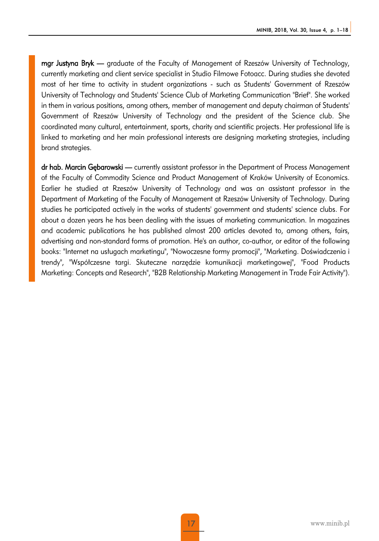mgr Justyna Bryk — graduate of the Faculty of Management of Rzeszów University of Technology, currently marketing and client service specialist in Studio Filmowe Fotoacc. During studies she devoted most of her time to activity in student organizations - such as Students' Government of Rzeszów University of Technology and Students' Science Club of Marketing Communication "Brief". She worked in them in various positions, among others, member of management and deputy chairman of Students' Government of Rzeszów University of Technology and the president of the Science club. She coordinated many cultural, entertainment, sports, charity and scientific projects. Her professional life is linked to marketing and her main professional interests are designing marketing strategies, including brand strategies.

dr hab. Marcin Gębarowski — currently assistant professor in the Department of Process Management of the Faculty of Commodity Science and Product Management of Kraków University of Economics. Earlier he studied at Rzeszów University of Technology and was an assistant professor in the Department of Marketing of the Faculty of Management at Rzeszów University of Technology. During studies he participated actively in the works of students' government and students' science clubs. For about a dozen years he has been dealing with the issues of marketing communication. In magazines and academic publications he has published almost 200 articles devoted to, among others, fairs, advertising and non-standard forms of promotion. He's an author, co-author, or editor of the following books: "Internet na usługach marketingu", "Nowoczesne formy promocji", "Marketing. Doświadczenia i trendy", "Współczesne targi. Skuteczne narzędzie komunikacji marketingowej", "Food Products Marketing: Concepts and Research", "B2B Relationship Marketing Management in Trade Fair Activity").